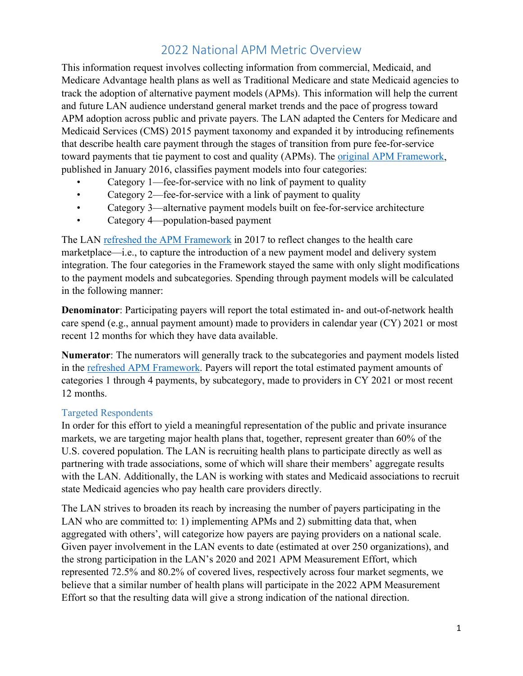# 2022 National APM Metric Overview

This information request involves collecting information from commercial, Medicaid, and Medicare Advantage health plans as well as Traditional Medicare and state Medicaid agencies to track the adoption of alternative payment models (APMs). This information will help the current and future LAN audience understand general market trends and the pace of progress toward APM adoption across public and private payers. The LAN adapted the Centers for Medicare and Medicaid Services (CMS) 2015 payment taxonomy and expanded it by introducing refinements that describe health care payment through the stages of transition from pure fee-for-service toward payments that tie payment to cost and quality (APMs). The [original APM Framework,](https://hcp-lan.org/workproducts/2016-apm-whitepaper.pdf) published in January 2016, classifies payment models into four categories:

- Category 1—fee-for-service with no link of payment to quality
- Category 2—fee-for-service with a link of payment to quality
- Category 3—alternative payment models built on fee-for-service architecture
- Category 4—population-based payment

The LAN refreshed [the APM Framework](http://hcp-lan.org/workproducts/apm-refresh-whitepaper-final.pdf) in 2017 to reflect changes to the health care marketplace—i.e., to capture the introduction of a new payment model and delivery system integration. The four categories in the Framework stayed the same with only slight modifications to the payment models and subcategories. Spending through payment models will be calculated in the following manner:

**Denominator**: Participating payers will report the total estimated in- and out-of-network health care spend (e.g., annual payment amount) made to providers in calendar year (CY) 2021 or most recent 12 months for which they have data available.

**Numerator**: The numerators will generally track to the subcategories and payment models listed in the [refreshed APM Framework.](http://hcp-lan.org/workproducts/apm-figure-1-final.pdf) Payers will report the total estimated payment amounts of categories 1 through 4 payments, by subcategory, made to providers in CY 2021 or most recent 12 months.

### Targeted Respondents

In order for this effort to yield a meaningful representation of the public and private insurance markets, we are targeting major health plans that, together, represent greater than 60% of the U.S. covered population. The LAN is recruiting health plans to participate directly as well as partnering with trade associations, some of which will share their members' aggregate results with the LAN. Additionally, the LAN is working with states and Medicaid associations to recruit state Medicaid agencies who pay health care providers directly.

The LAN strives to broaden its reach by increasing the number of payers participating in the LAN who are committed to: 1) implementing APMs and 2) submitting data that, when aggregated with others', will categorize how payers are paying providers on a national scale. Given payer involvement in the LAN events to date (estimated at over 250 organizations), and the strong participation in the LAN's 2020 and 2021 APM Measurement Effort, which represented 72.5% and 80.2% of covered lives, respectively across four market segments, we believe that a similar number of health plans will participate in the 2022 APM Measurement Effort so that the resulting data will give a strong indication of the national direction.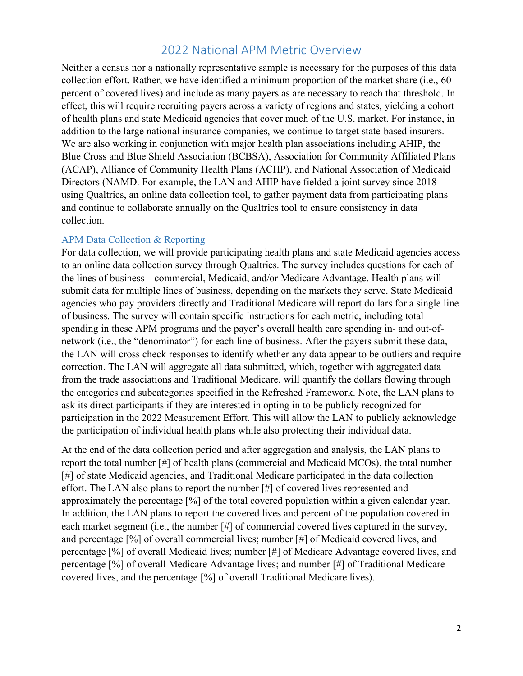### 2022 National APM Metric Overview

Neither a census nor a nationally representative sample is necessary for the purposes of this data collection effort. Rather, we have identified a minimum proportion of the market share (i.e., 60 percent of covered lives) and include as many payers as are necessary to reach that threshold. In effect, this will require recruiting payers across a variety of regions and states, yielding a cohort of health plans and state Medicaid agencies that cover much of the U.S. market. For instance, in addition to the large national insurance companies, we continue to target state-based insurers. We are also working in conjunction with major health plan associations including AHIP, the Blue Cross and Blue Shield Association (BCBSA), Association for Community Affiliated Plans (ACAP), Alliance of Community Health Plans (ACHP), and National Association of Medicaid Directors (NAMD. For example, the LAN and AHIP have fielded a joint survey since 2018 using Qualtrics, an online data collection tool, to gather payment data from participating plans and continue to collaborate annually on the Qualtrics tool to ensure consistency in data collection.

#### APM Data Collection & Reporting

For data collection, we will provide participating health plans and state Medicaid agencies access to an online data collection survey through Qualtrics. The survey includes questions for each of the lines of business—commercial, Medicaid, and/or Medicare Advantage. Health plans will submit data for multiple lines of business, depending on the markets they serve. State Medicaid agencies who pay providers directly and Traditional Medicare will report dollars for a single line of business. The survey will contain specific instructions for each metric, including total spending in these APM programs and the payer's overall health care spending in- and out-ofnetwork (i.e., the "denominator") for each line of business. After the payers submit these data, the LAN will cross check responses to identify whether any data appear to be outliers and require correction. The LAN will aggregate all data submitted, which, together with aggregated data from the trade associations and Traditional Medicare, will quantify the dollars flowing through the categories and subcategories specified in the Refreshed Framework. Note, the LAN plans to ask its direct participants if they are interested in opting in to be publicly recognized for participation in the 2022 Measurement Effort. This will allow the LAN to publicly acknowledge the participation of individual health plans while also protecting their individual data.

At the end of the data collection period and after aggregation and analysis, the LAN plans to report the total number [#] of health plans (commercial and Medicaid MCOs), the total number [#] of state Medicaid agencies, and Traditional Medicare participated in the data collection effort. The LAN also plans to report the number [#] of covered lives represented and approximately the percentage [%] of the total covered population within a given calendar year. In addition, the LAN plans to report the covered lives and percent of the population covered in each market segment (i.e., the number [#] of commercial covered lives captured in the survey, and percentage [%] of overall commercial lives; number [#] of Medicaid covered lives, and percentage [%] of overall Medicaid lives; number [#] of Medicare Advantage covered lives, and percentage [%] of overall Medicare Advantage lives; and number [#] of Traditional Medicare covered lives, and the percentage [%] of overall Traditional Medicare lives).